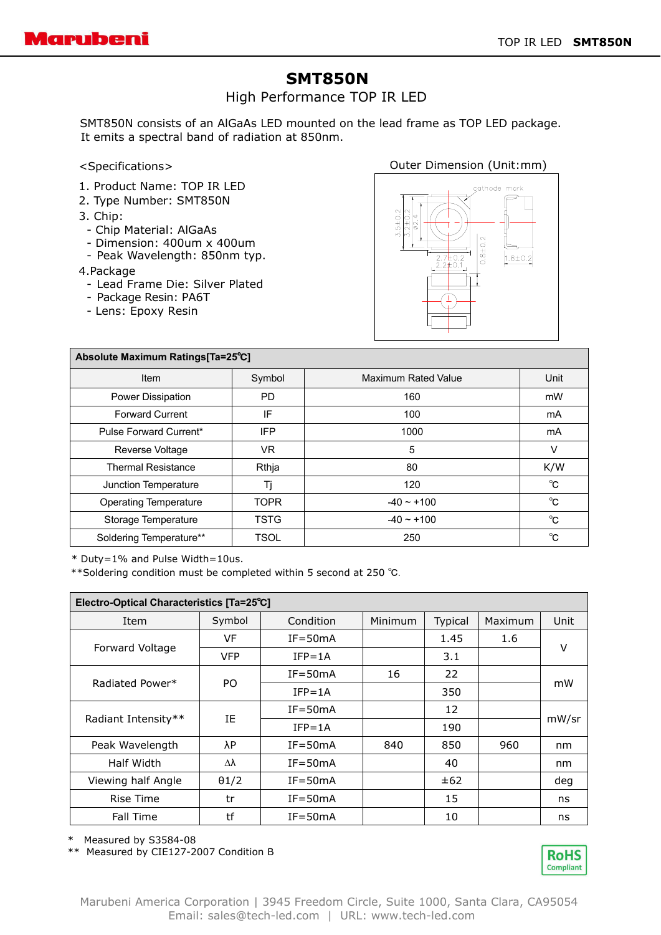## **SMT850N**

High Performance TOP IR LED

SMT850N consists of an AlGaAs LED mounted on the lead frame as TOP LED package. It emits a spectral band of radiation at 850nm.

<Specifications>

- 1. Product Name: TOP IR LED
- 2. Type Number: SMT850N
- 3. Chip:
- Chip Material: AlGaAs
- Dimension: 400um x 400um
- Peak Wavelength: 850nm typ.

4.Package

- Lead Frame Die: Silver Plated
- Package Resin: PA6T
- Lens: Epoxy Resin

Outer Dimension (Unit:mm)



| Absolute Maximum Ratings[Ta=25°C] |             |                            |      |  |  |  |  |
|-----------------------------------|-------------|----------------------------|------|--|--|--|--|
| Item                              | Symbol      | <b>Maximum Rated Value</b> | Unit |  |  |  |  |
| Power Dissipation                 | PD.         | 160                        | mW   |  |  |  |  |
| <b>Forward Current</b>            | IF          | 100                        | mA   |  |  |  |  |
| Pulse Forward Current*            | IFP         | 1000                       | mA   |  |  |  |  |
| Reverse Voltage                   | VR.         | 5                          | v    |  |  |  |  |
| <b>Thermal Resistance</b>         | Rthja       | 80                         | K/W  |  |  |  |  |
| Junction Temperature              | Tj          | 120                        | °C   |  |  |  |  |
| <b>Operating Temperature</b>      | <b>TOPR</b> | $-40 \sim +100$            | °C   |  |  |  |  |
| Storage Temperature               | <b>TSTG</b> | $-40 \sim +100$            | °C   |  |  |  |  |
| Soldering Temperature**           | <b>TSOL</b> | 250                        | °C   |  |  |  |  |

\* Duty=1% and Pulse Width=10us.

\*\*Soldering condition must be completed within 5 second at 250 ℃.

| Electro-Optical Characteristics [Ta=25°C] |              |             |         |         |         |       |  |  |  |
|-------------------------------------------|--------------|-------------|---------|---------|---------|-------|--|--|--|
| Item                                      | Symbol       | Condition   | Minimum | Typical | Maximum | Unit  |  |  |  |
| Forward Voltage                           | VF           | $IF = 50mA$ |         | 1.45    | 1.6     | v     |  |  |  |
|                                           | <b>VFP</b>   | $IFP = 1A$  |         | 3.1     |         |       |  |  |  |
| Radiated Power*                           | PO.          | $IF = 50mA$ | 16      | 22      |         | mW    |  |  |  |
|                                           |              | $IFP = 1A$  |         | 350     |         |       |  |  |  |
| Radiant Intensity**                       | IE           | $IF = 50mA$ |         | 12      |         | mW/sr |  |  |  |
|                                           |              | $IFP = 1A$  |         | 190     |         |       |  |  |  |
| Peak Wavelength                           | λP           | $IF = 50mA$ | 840     | 850     | 960     | nm    |  |  |  |
| Half Width                                | Δλ           | $IF = 50mA$ |         | 40      |         | nm    |  |  |  |
| Viewing half Angle                        | $\theta$ 1/2 | $IF = 50mA$ |         | ±62     |         | deg   |  |  |  |
| Rise Time                                 | tr           | $IF = 50mA$ |         | 15      |         | ns    |  |  |  |
| Fall Time                                 | tf           | $IF = 50mA$ |         | 10      |         | ns    |  |  |  |

\* Measured by S3584-08

\*\* Measured by CIE127-2007 Condition B

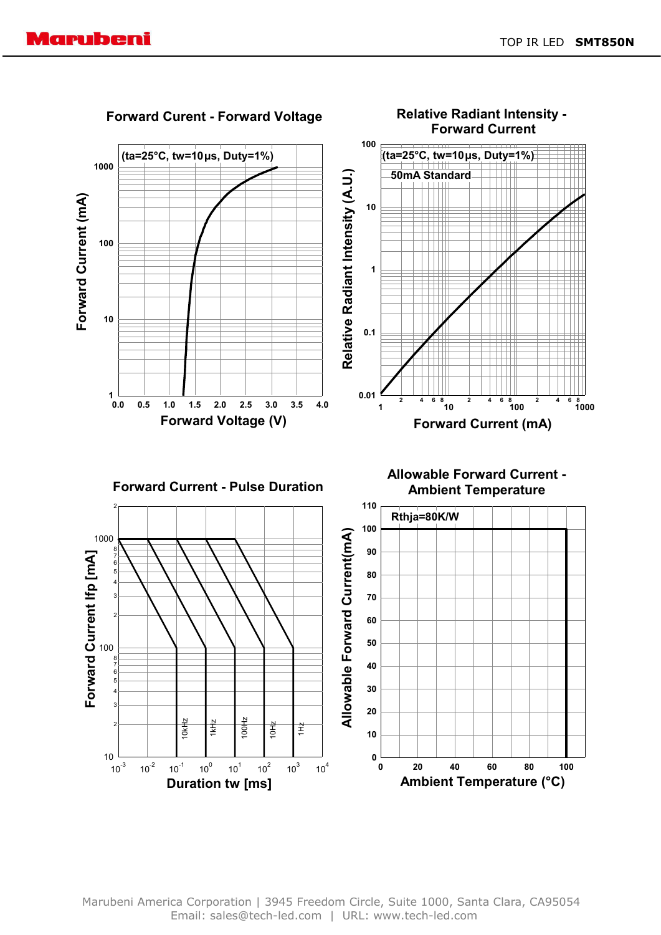

Marubeni America Corporation | 3945 Freedom Circle, Suite 1000, Santa Clara, CA95054 Email: sales@tech-led.com | URL: www.tech-led.com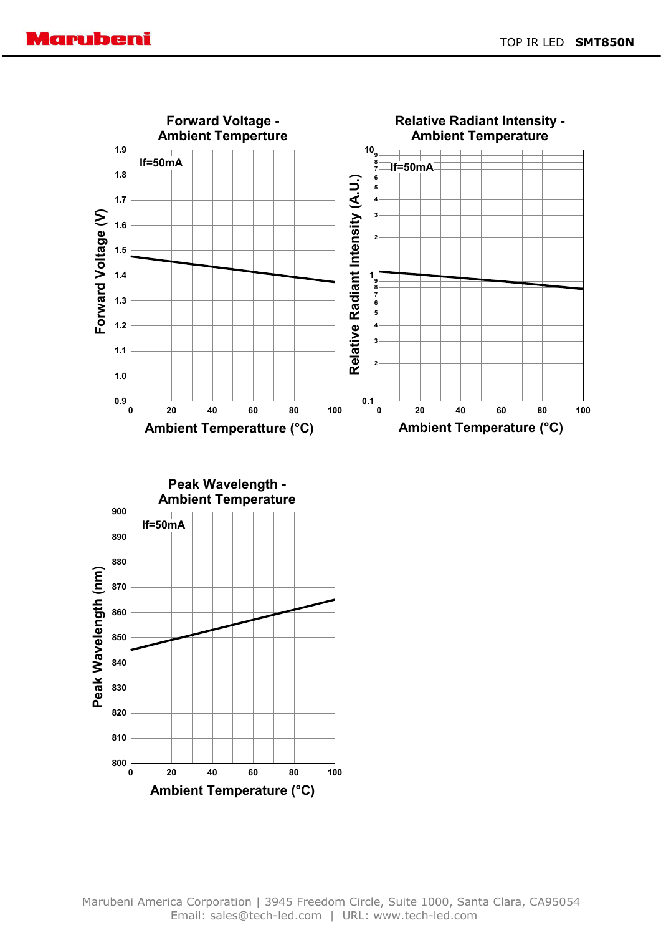





Marubeni America Corporation | 3945 Freedom Circle, Suite 1000, Santa Clara, CA95054 Email: sales@tech-led.com | URL: www.tech-led.com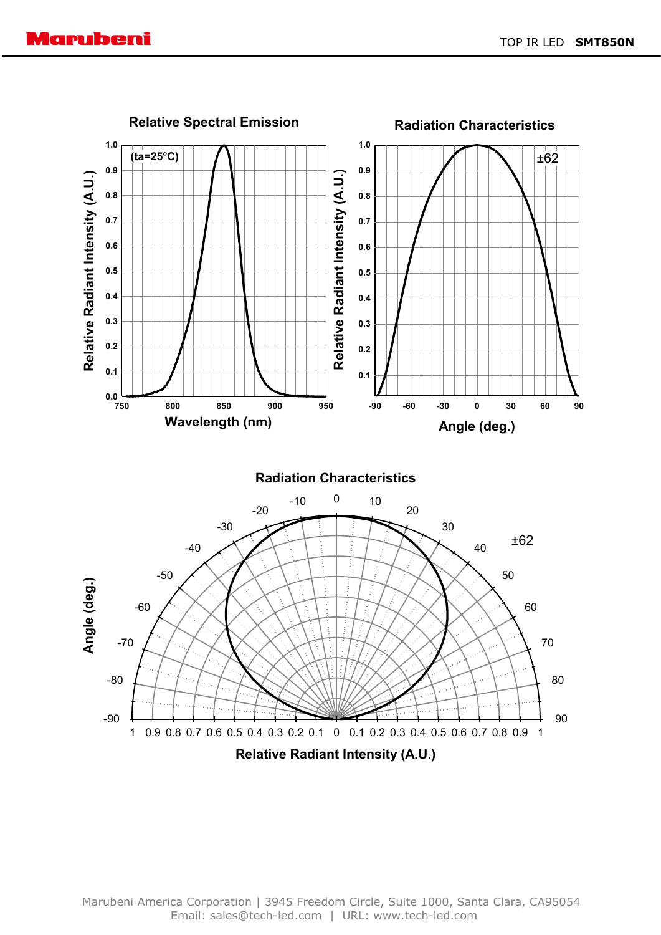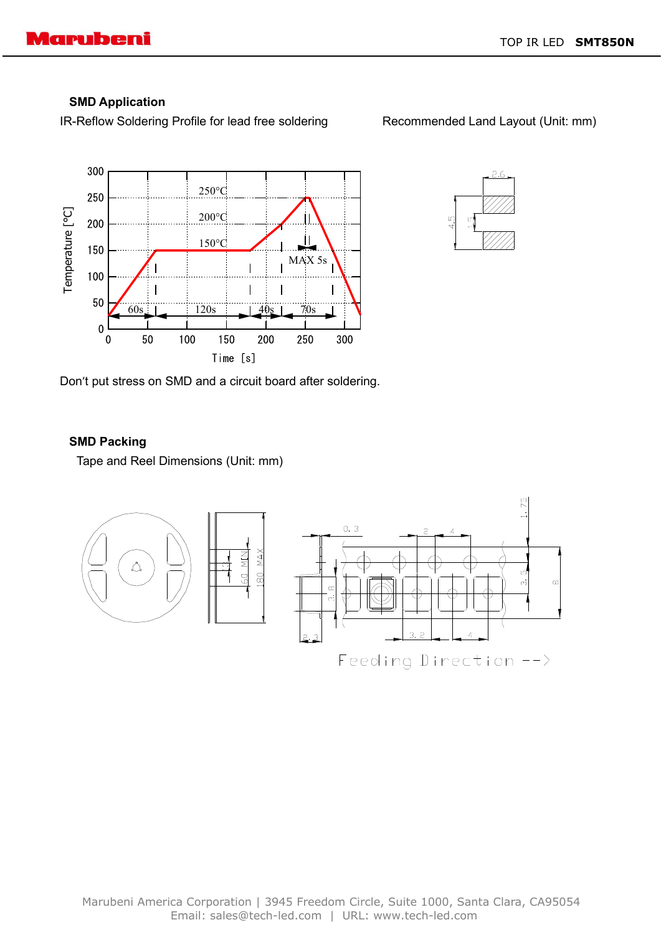## **SMD Application**

IR-Reflow Soldering Profile for lead free soldering Recommended Land Layout (Unit: mm)

300 250°C 250 Temperature [°C] 200°C 200 150°C 150 MAX 5s  $\overline{\phantom{a}}$ 100  $\overline{\phantom{a}}$ 50  $\overline{60s}$  120s 140s 170s  $\overline{0}$ 50 100 150 200 250 300  $\mathbf 0$ Time [s]



Don't put stress on SMD and a circuit board after soldering.

## **SMD Packing**

Tape and Reel Dimensions (Unit: mm)

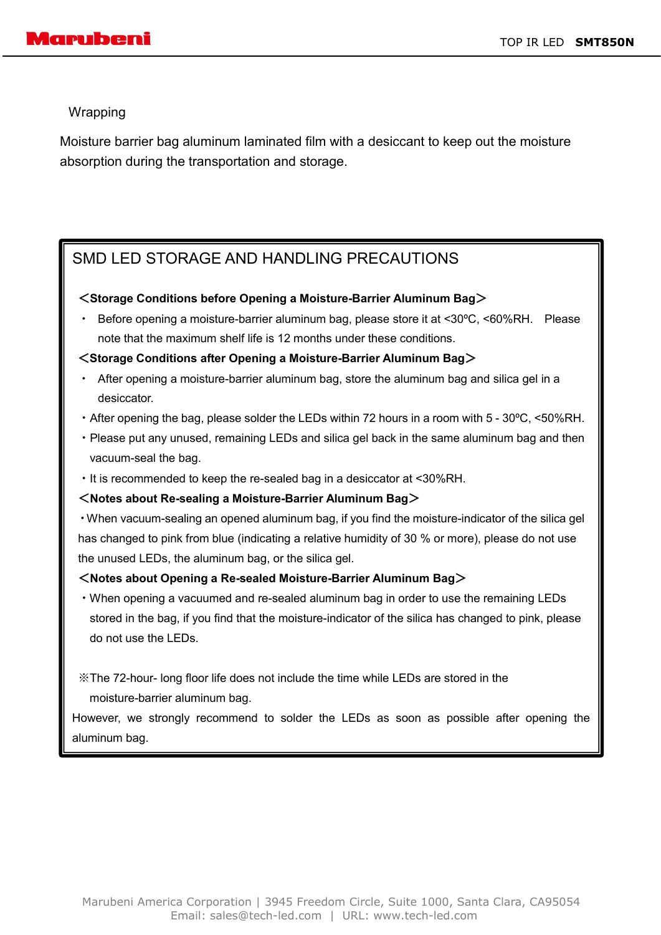Wrapping

Moisture barrier bag aluminum laminated film with a desiccant to keep out the moisture absorption during the transportation and storage.

# SMD LED STORAGE AND HANDLING PRECAUTIONS

### <**Storage Conditions before Opening a Moisture-Barrier Aluminum Bag**>

Before opening a moisture-barrier aluminum bag, please store it at <30°C, <60%RH. Please note that the maximum shelf life is 12 months under these conditions.

## <**Storage Conditions after Opening a Moisture-Barrier Aluminum Bag**>

- After opening a moisture-barrier aluminum bag, store the aluminum bag and silica gel in a desiccator.
- ・After opening the bag, please solder the LEDs within 72 hours in a room with 5 30ºC, <50%RH.
- ・Please put any unused, remaining LEDs and silica gel back in the same aluminum bag and then vacuum-seal the bag.
- ・It is recommended to keep the re-sealed bag in a desiccator at <30%RH.

## <**Notes about Re-sealing a Moisture-Barrier Aluminum Bag**>

・When vacuum-sealing an opened aluminum bag, if you find the moisture-indicator of the silica gel has changed to pink from blue (indicating a relative humidity of 30 % or more), please do not use the unused LEDs, the aluminum bag, or the silica gel.

### <**Notes about Opening a Re-sealed Moisture-Barrier Aluminum Bag**>

・When opening a vacuumed and re-sealed aluminum bag in order to use the remaining LEDs stored in the bag, if you find that the moisture-indicator of the silica has changed to pink, please do not use the LEDs.

※The 72-hour- long floor life does not include the time while LEDs are stored in the moisture-barrier aluminum bag.

However, we strongly recommend to solder the LEDs as soon as possible after opening the aluminum bag.